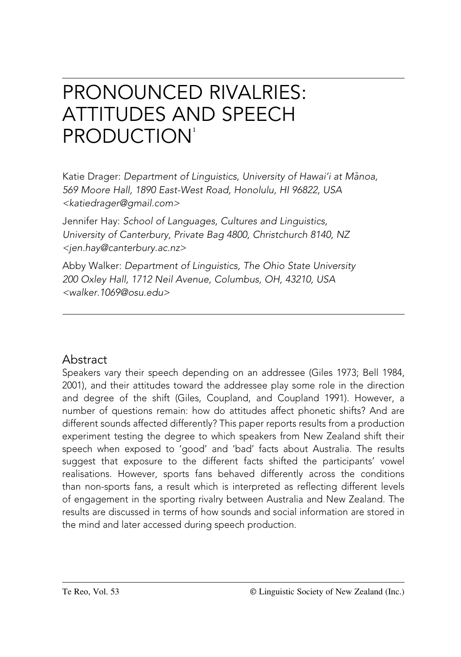# PRONOUNCED RIVALRIES: ATTITUDES AND SPEECH PRODUCTION<sup>1</sup>

Katie Drager: *Department of Linguistics, University of Hawai'i at Mänoa, 569 Moore Hall, 1890 East-West Road, Honolulu, HI 96822, USA <katiedrager@gmail.com>*

Jennifer Hay: *School of Languages, Cultures and Linguistics, University of Canterbury, Private Bag 4800, Christchurch 8140, NZ <jen.hay@canterbury.ac.nz>*

Abby Walker: *Department of Linguistics, The Ohio State University 200 Oxley Hall, 1712 Neil Avenue, Columbus, OH, 43210, USA <walker.1069@osu.edu>*

# Abstract

Speakers vary their speech depending on an addressee (Giles 1973; Bell 1984, 2001), and their attitudes toward the addressee play some role in the direction and degree of the shift (Giles, Coupland, and Coupland 1991). However, a number of questions remain: how do attitudes affect phonetic shifts? And are different sounds affected differently? This paper reports results from a production experiment testing the degree to which speakers from New Zealand shift their speech when exposed to 'good' and 'bad' facts about Australia. The results suggest that exposure to the different facts shifted the participants' vowel realisations. However, sports fans behaved differently across the conditions than non-sports fans, a result which is interpreted as reflecting different levels of engagement in the sporting rivalry between Australia and New Zealand. The results are discussed in terms of how sounds and social information are stored in the mind and later accessed during speech production.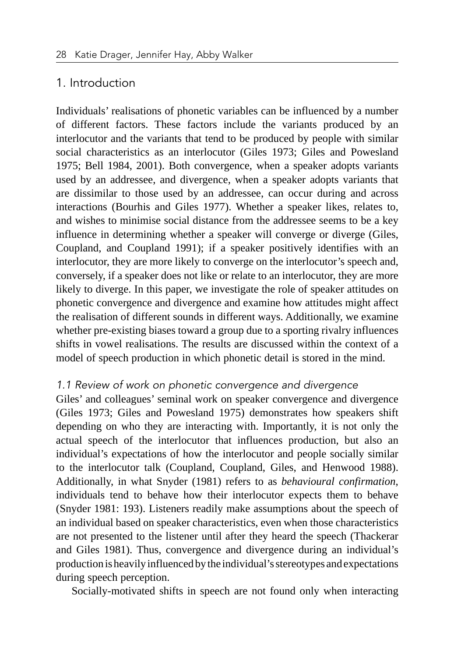## 1. Introduction

Individuals' realisations of phonetic variables can be influenced by a number of different factors. These factors include the variants produced by an interlocutor and the variants that tend to be produced by people with similar social characteristics as an interlocutor (Giles 1973; Giles and Powesland 1975; Bell 1984, 2001). Both convergence, when a speaker adopts variants used by an addressee, and divergence, when a speaker adopts variants that are dissimilar to those used by an addressee, can occur during and across interactions (Bourhis and Giles 1977). Whether a speaker likes, relates to, and wishes to minimise social distance from the addressee seems to be a key influence in determining whether a speaker will converge or diverge (Giles, Coupland, and Coupland 1991); if a speaker positively identifies with an interlocutor, they are more likely to converge on the interlocutor's speech and, conversely, if a speaker does not like or relate to an interlocutor, they are more likely to diverge. In this paper, we investigate the role of speaker attitudes on phonetic convergence and divergence and examine how attitudes might affect the realisation of different sounds in different ways. Additionally, we examine whether pre-existing biases toward a group due to a sporting rivalry influences shifts in vowel realisations. The results are discussed within the context of a model of speech production in which phonetic detail is stored in the mind.

#### *1.1 Review of work on phonetic convergence and divergence*

Giles' and colleagues' seminal work on speaker convergence and divergence (Giles 1973; Giles and Powesland 1975) demonstrates how speakers shift depending on who they are interacting with. Importantly, it is not only the actual speech of the interlocutor that influences production, but also an individual's expectations of how the interlocutor and people socially similar to the interlocutor talk (Coupland, Coupland, Giles, and Henwood 1988). Additionally, in what Snyder (1981) refers to as *behavioural confirmation*, individuals tend to behave how their interlocutor expects them to behave (Snyder 1981: 193). Listeners readily make assumptions about the speech of an individual based on speaker characteristics, even when those characteristics are not presented to the listener until after they heard the speech (Thackerar and Giles 1981). Thus, convergence and divergence during an individual's production is heavily influenced by the individual's stereotypes and expectations during speech perception.

Socially-motivated shifts in speech are not found only when interacting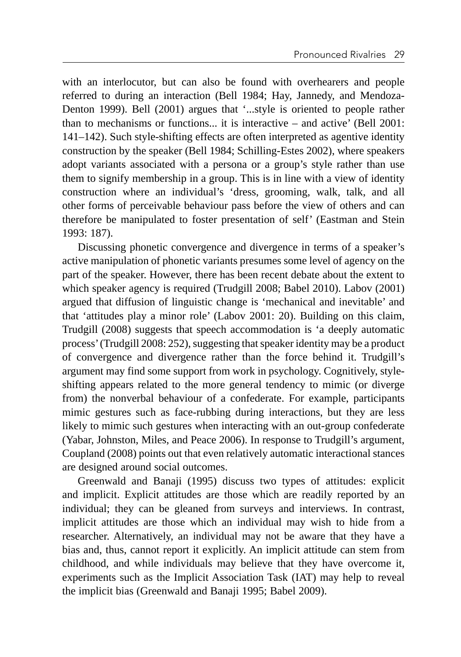with an interlocutor, but can also be found with overhearers and people referred to during an interaction (Bell 1984; Hay, Jannedy, and Mendoza-Denton 1999). Bell (2001) argues that '...style is oriented to people rather than to mechanisms or functions... it is interactive – and active' (Bell 2001: 141–142). Such style-shifting effects are often interpreted as agentive identity construction by the speaker (Bell 1984; Schilling-Estes 2002), where speakers adopt variants associated with a persona or a group's style rather than use them to signify membership in a group. This is in line with a view of identity construction where an individual's 'dress, grooming, walk, talk, and all other forms of perceivable behaviour pass before the view of others and can therefore be manipulated to foster presentation of self' (Eastman and Stein 1993: 187).

Discussing phonetic convergence and divergence in terms of a speaker's active manipulation of phonetic variants presumes some level of agency on the part of the speaker. However, there has been recent debate about the extent to which speaker agency is required (Trudgill 2008; Babel 2010). Labov (2001) argued that diffusion of linguistic change is 'mechanical and inevitable' and that 'attitudes play a minor role' (Labov 2001: 20). Building on this claim, Trudgill (2008) suggests that speech accommodation is 'a deeply automatic process' (Trudgill 2008: 252), suggesting that speaker identity may be a product of convergence and divergence rather than the force behind it. Trudgill's argument may find some support from work in psychology. Cognitively, styleshifting appears related to the more general tendency to mimic (or diverge from) the nonverbal behaviour of a confederate. For example, participants mimic gestures such as face-rubbing during interactions, but they are less likely to mimic such gestures when interacting with an out-group confederate (Yabar, Johnston, Miles, and Peace 2006). In response to Trudgill's argument, Coupland (2008) points out that even relatively automatic interactional stances are designed around social outcomes.

Greenwald and Banaji (1995) discuss two types of attitudes: explicit and implicit. Explicit attitudes are those which are readily reported by an individual; they can be gleaned from surveys and interviews. In contrast, implicit attitudes are those which an individual may wish to hide from a researcher. Alternatively, an individual may not be aware that they have a bias and, thus, cannot report it explicitly. An implicit attitude can stem from childhood, and while individuals may believe that they have overcome it, experiments such as the Implicit Association Task (IAT) may help to reveal the implicit bias (Greenwald and Banaji 1995; Babel 2009).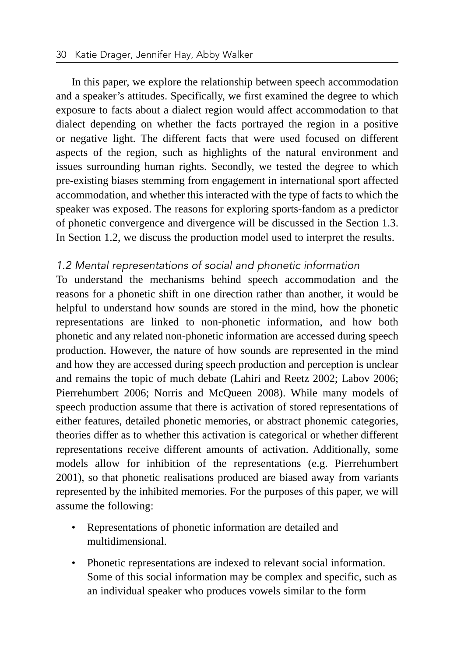In this paper, we explore the relationship between speech accommodation and a speaker's attitudes. Specifically, we first examined the degree to which exposure to facts about a dialect region would affect accommodation to that dialect depending on whether the facts portrayed the region in a positive or negative light. The different facts that were used focused on different aspects of the region, such as highlights of the natural environment and issues surrounding human rights. Secondly, we tested the degree to which pre-existing biases stemming from engagement in international sport affected accommodation, and whether this interacted with the type of facts to which the speaker was exposed. The reasons for exploring sports-fandom as a predictor of phonetic convergence and divergence will be discussed in the Section 1.3. In Section 1.2, we discuss the production model used to interpret the results.

#### *1.2 Mental representations of social and phonetic information*

To understand the mechanisms behind speech accommodation and the reasons for a phonetic shift in one direction rather than another, it would be helpful to understand how sounds are stored in the mind, how the phonetic representations are linked to non-phonetic information, and how both phonetic and any related non-phonetic information are accessed during speech production. However, the nature of how sounds are represented in the mind and how they are accessed during speech production and perception is unclear and remains the topic of much debate (Lahiri and Reetz 2002; Labov 2006; Pierrehumbert 2006; Norris and McQueen 2008). While many models of speech production assume that there is activation of stored representations of either features, detailed phonetic memories, or abstract phonemic categories, theories differ as to whether this activation is categorical or whether different representations receive different amounts of activation. Additionally, some models allow for inhibition of the representations (e.g. Pierrehumbert 2001), so that phonetic realisations produced are biased away from variants represented by the inhibited memories. For the purposes of this paper, we will assume the following:

- Representations of phonetic information are detailed and multidimensional.
- Phonetic representations are indexed to relevant social information. Some of this social information may be complex and specific, such as an individual speaker who produces vowels similar to the form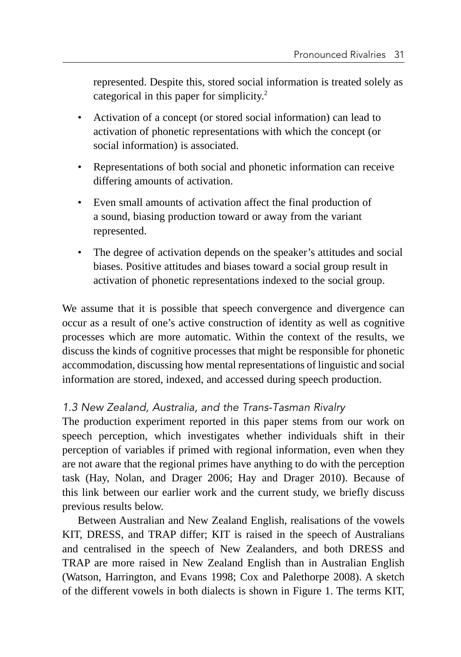represented. Despite this, stored social information is treated solely as categorical in this paper for simplicity.2

- Activation of a concept (or stored social information) can lead to activation of phonetic representations with which the concept (or social information) is associated.
- Representations of both social and phonetic information can receive differing amounts of activation.
- Even small amounts of activation affect the final production of a sound, biasing production toward or away from the variant represented.
- The degree of activation depends on the speaker's attitudes and social biases. Positive attitudes and biases toward a social group result in activation of phonetic representations indexed to the social group.

We assume that it is possible that speech convergence and divergence can occur as a result of one's active construction of identity as well as cognitive processes which are more automatic. Within the context of the results, we discuss the kinds of cognitive processes that might be responsible for phonetic accommodation, discussing how mental representations of linguistic and social information are stored, indexed, and accessed during speech production.

## *1.3 New Zealand, Australia, and the Trans-Tasman Rivalry*

The production experiment reported in this paper stems from our work on speech perception, which investigates whether individuals shift in their perception of variables if primed with regional information, even when they are not aware that the regional primes have anything to do with the perception task (Hay, Nolan, and Drager 2006; Hay and Drager 2010). Because of this link between our earlier work and the current study, we briefly discuss previous results below.

Between Australian and New Zealand English, realisations of the vowels KIT, DRESS, and TRAP differ; KIT is raised in the speech of Australians and centralised in the speech of New Zealanders, and both DRESS and TRAP are more raised in New Zealand English than in Australian English (Watson, Harrington, and Evans 1998; Cox and Palethorpe 2008). A sketch of the different vowels in both dialects is shown in Figure 1. The terms KIT,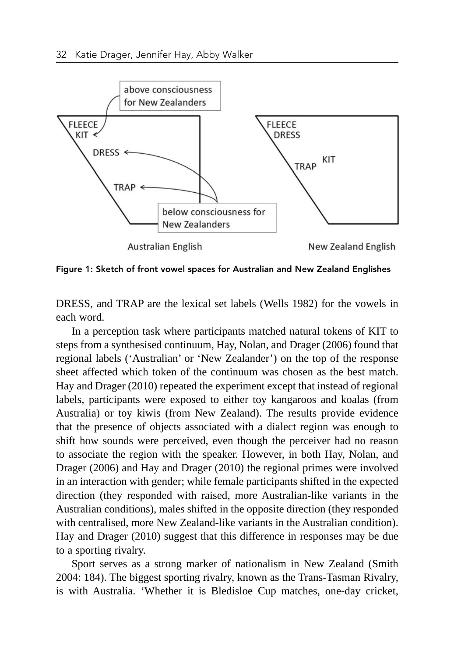

Figure 1: Sketch of front vowel spaces for Australian and New Zealand Englishes

DRESS, and TRAP are the lexical set labels (Wells 1982) for the vowels in each word.

In a perception task where participants matched natural tokens of KIT to steps from a synthesised continuum, Hay, Nolan, and Drager (2006) found that regional labels ('Australian' or 'New Zealander') on the top of the response sheet affected which token of the continuum was chosen as the best match. Hay and Drager (2010) repeated the experiment except that instead of regional labels, participants were exposed to either toy kangaroos and koalas (from Australia) or toy kiwis (from New Zealand). The results provide evidence that the presence of objects associated with a dialect region was enough to shift how sounds were perceived, even though the perceiver had no reason to associate the region with the speaker. However, in both Hay, Nolan, and Drager (2006) and Hay and Drager (2010) the regional primes were involved in an interaction with gender; while female participants shifted in the expected direction (they responded with raised, more Australian-like variants in the Australian conditions), males shifted in the opposite direction (they responded with centralised, more New Zealand-like variants in the Australian condition). Hay and Drager (2010) suggest that this difference in responses may be due to a sporting rivalry.

Sport serves as a strong marker of nationalism in New Zealand (Smith 2004: 184). The biggest sporting rivalry, known as the Trans-Tasman Rivalry, is with Australia. 'Whether it is Bledisloe Cup matches, one-day cricket,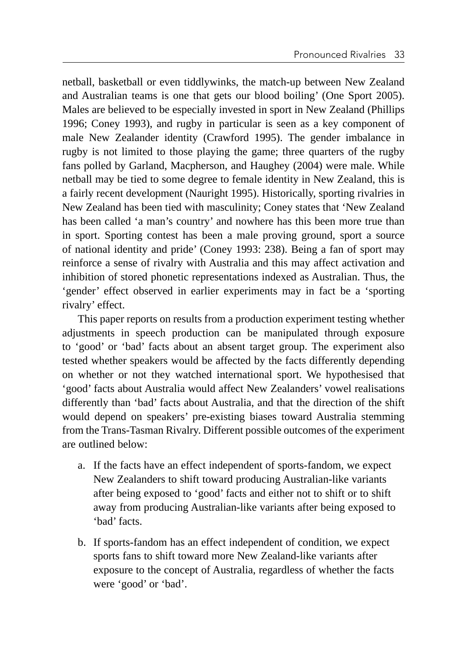netball, basketball or even tiddlywinks, the match-up between New Zealand and Australian teams is one that gets our blood boiling' (One Sport 2005). Males are believed to be especially invested in sport in New Zealand (Phillips 1996; Coney 1993), and rugby in particular is seen as a key component of male New Zealander identity (Crawford 1995). The gender imbalance in rugby is not limited to those playing the game; three quarters of the rugby fans polled by Garland, Macpherson, and Haughey (2004) were male. While netball may be tied to some degree to female identity in New Zealand, this is a fairly recent development (Nauright 1995). Historically, sporting rivalries in New Zealand has been tied with masculinity; Coney states that 'New Zealand has been called 'a man's country' and nowhere has this been more true than in sport. Sporting contest has been a male proving ground, sport a source of national identity and pride' (Coney 1993: 238). Being a fan of sport may reinforce a sense of rivalry with Australia and this may affect activation and inhibition of stored phonetic representations indexed as Australian. Thus, the 'gender' effect observed in earlier experiments may in fact be a 'sporting rivalry' effect.

This paper reports on results from a production experiment testing whether adjustments in speech production can be manipulated through exposure to 'good' or 'bad' facts about an absent target group. The experiment also tested whether speakers would be affected by the facts differently depending on whether or not they watched international sport. We hypothesised that 'good' facts about Australia would affect New Zealanders' vowel realisations differently than 'bad' facts about Australia, and that the direction of the shift would depend on speakers' pre-existing biases toward Australia stemming from the Trans-Tasman Rivalry. Different possible outcomes of the experiment are outlined below:

- a. If the facts have an effect independent of sports-fandom, we expect New Zealanders to shift toward producing Australian-like variants after being exposed to 'good' facts and either not to shift or to shift away from producing Australian-like variants after being exposed to 'bad' facts.
- b. If sports-fandom has an effect independent of condition, we expect sports fans to shift toward more New Zealand-like variants after exposure to the concept of Australia, regardless of whether the facts were 'good' or 'bad'.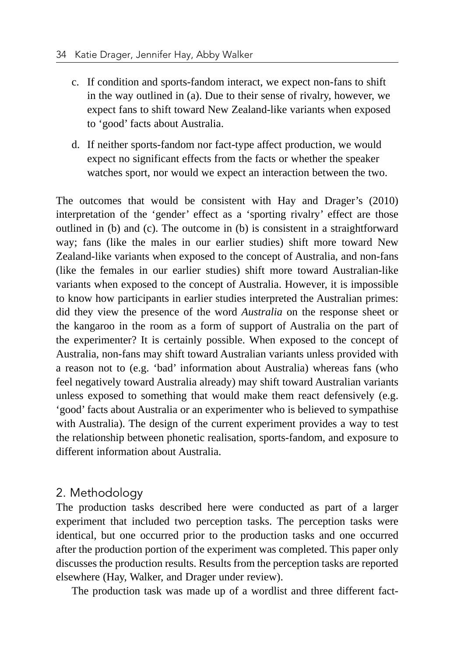- c. If condition and sports-fandom interact, we expect non-fans to shift in the way outlined in (a). Due to their sense of rivalry, however, we expect fans to shift toward New Zealand-like variants when exposed to 'good' facts about Australia.
- d. If neither sports-fandom nor fact-type affect production, we would expect no significant effects from the facts or whether the speaker watches sport, nor would we expect an interaction between the two.

The outcomes that would be consistent with Hay and Drager's (2010) interpretation of the 'gender' effect as a 'sporting rivalry' effect are those outlined in (b) and (c). The outcome in (b) is consistent in a straightforward way; fans (like the males in our earlier studies) shift more toward New Zealand-like variants when exposed to the concept of Australia, and non-fans (like the females in our earlier studies) shift more toward Australian-like variants when exposed to the concept of Australia. However, it is impossible to know how participants in earlier studies interpreted the Australian primes: did they view the presence of the word *Australia* on the response sheet or the kangaroo in the room as a form of support of Australia on the part of the experimenter? It is certainly possible. When exposed to the concept of Australia, non-fans may shift toward Australian variants unless provided with a reason not to (e.g. 'bad' information about Australia) whereas fans (who feel negatively toward Australia already) may shift toward Australian variants unless exposed to something that would make them react defensively (e.g. 'good' facts about Australia or an experimenter who is believed to sympathise with Australia). The design of the current experiment provides a way to test the relationship between phonetic realisation, sports-fandom, and exposure to different information about Australia.

#### 2. Methodology

The production tasks described here were conducted as part of a larger experiment that included two perception tasks. The perception tasks were identical, but one occurred prior to the production tasks and one occurred after the production portion of the experiment was completed. This paper only discusses the production results. Results from the perception tasks are reported elsewhere (Hay, Walker, and Drager under review).

The production task was made up of a wordlist and three different fact-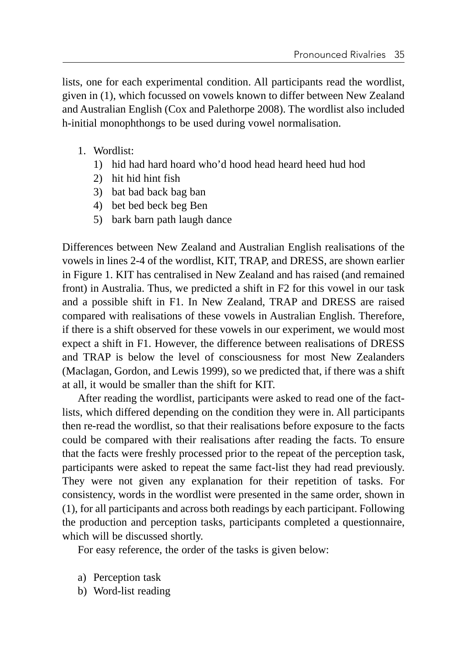lists, one for each experimental condition. All participants read the wordlist, given in (1), which focussed on vowels known to differ between New Zealand and Australian English (Cox and Palethorpe 2008). The wordlist also included h-initial monophthongs to be used during vowel normalisation.

- 1. Wordlist:
	- 1) hid had hard hoard who'd hood head heard heed hud hod
	- 2) hit hid hint fish
	- 3) bat bad back bag ban
	- 4) bet bed beck beg Ben
	- 5) bark barn path laugh dance

Differences between New Zealand and Australian English realisations of the vowels in lines 2-4 of the wordlist, KIT, TRAP, and DRESS, are shown earlier in Figure 1. KIT has centralised in New Zealand and has raised (and remained front) in Australia. Thus, we predicted a shift in F2 for this vowel in our task and a possible shift in F1. In New Zealand, TRAP and DRESS are raised compared with realisations of these vowels in Australian English. Therefore, if there is a shift observed for these vowels in our experiment, we would most expect a shift in F1. However, the difference between realisations of DRESS and TRAP is below the level of consciousness for most New Zealanders (Maclagan, Gordon, and Lewis 1999), so we predicted that, if there was a shift at all, it would be smaller than the shift for KIT.

After reading the wordlist, participants were asked to read one of the factlists, which differed depending on the condition they were in. All participants then re-read the wordlist, so that their realisations before exposure to the facts could be compared with their realisations after reading the facts. To ensure that the facts were freshly processed prior to the repeat of the perception task, participants were asked to repeat the same fact-list they had read previously. They were not given any explanation for their repetition of tasks. For consistency, words in the wordlist were presented in the same order, shown in (1), for all participants and across both readings by each participant. Following the production and perception tasks, participants completed a questionnaire, which will be discussed shortly.

For easy reference, the order of the tasks is given below:

- a) Perception task
- b) Word-list reading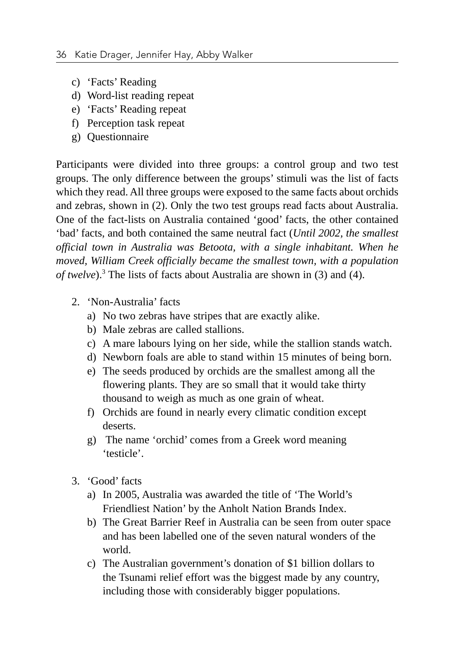- c) 'Facts' Reading
- d) Word-list reading repeat
- e) 'Facts' Reading repeat
- f) Perception task repeat
- g) Questionnaire

Participants were divided into three groups: a control group and two test groups. The only difference between the groups' stimuli was the list of facts which they read. All three groups were exposed to the same facts about orchids and zebras, shown in (2). Only the two test groups read facts about Australia. One of the fact-lists on Australia contained 'good' facts, the other contained 'bad' facts, and both contained the same neutral fact (*Until 2002, the smallest official town in Australia was Betoota, with a single inhabitant. When he moved, William Creek officially became the smallest town, with a population of twelve*).3 The lists of facts about Australia are shown in (3) and (4).

- 2. 'Non-Australia' facts
	- a) No two zebras have stripes that are exactly alike.
	- b) Male zebras are called stallions.
	- c) A mare labours lying on her side, while the stallion stands watch.
	- d) Newborn foals are able to stand within 15 minutes of being born.
	- e) The seeds produced by orchids are the smallest among all the flowering plants. They are so small that it would take thirty thousand to weigh as much as one grain of wheat.
	- f) Orchids are found in nearly every climatic condition except deserts.
	- g) The name 'orchid' comes from a Greek word meaning 'testicle'.
- 3. 'Good' facts
	- a) In 2005, Australia was awarded the title of 'The World's Friendliest Nation' by the Anholt Nation Brands Index.
	- b) The Great Barrier Reef in Australia can be seen from outer space and has been labelled one of the seven natural wonders of the world.
	- c) The Australian government's donation of \$1 billion dollars to the Tsunami relief effort was the biggest made by any country, including those with considerably bigger populations.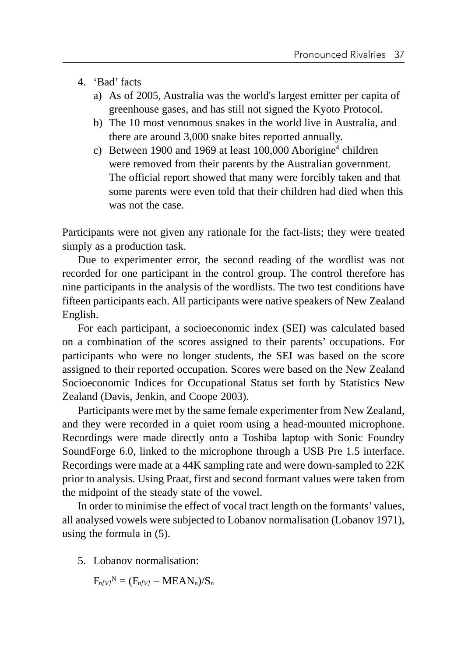- 4. 'Bad' facts
	- a) As of 2005, Australia was the world's largest emitter per capita of greenhouse gases, and has still not signed the Kyoto Protocol.
	- b) The 10 most venomous snakes in the world live in Australia, and there are around 3,000 snake bites reported annually.
	- c) Between 1900 and 1969 at least  $100,000$  Aborigine<sup>4</sup> children were removed from their parents by the Australian government. The official report showed that many were forcibly taken and that some parents were even told that their children had died when this was not the case.

Participants were not given any rationale for the fact-lists; they were treated simply as a production task.

Due to experimenter error, the second reading of the wordlist was not recorded for one participant in the control group. The control therefore has nine participants in the analysis of the wordlists. The two test conditions have fifteen participants each. All participants were native speakers of New Zealand English.

For each participant, a socioeconomic index (SEI) was calculated based on a combination of the scores assigned to their parents' occupations. For participants who were no longer students, the SEI was based on the score assigned to their reported occupation. Scores were based on the New Zealand Socioeconomic Indices for Occupational Status set forth by Statistics New Zealand (Davis, Jenkin, and Coope 2003).

Participants were met by the same female experimenter from New Zealand, and they were recorded in a quiet room using a head-mounted microphone. Recordings were made directly onto a Toshiba laptop with Sonic Foundry SoundForge 6.0, linked to the microphone through a USB Pre 1.5 interface. Recordings were made at a 44K sampling rate and were down-sampled to 22K prior to analysis. Using Praat, first and second formant values were taken from the midpoint of the steady state of the vowel.

In order to minimise the effect of vocal tract length on the formants' values, all analysed vowels were subjected to Lobanov normalisation (Lobanov 1971), using the formula in (5).

5. Lobanov normalisation:

 $F_{n/Vl}^N = (F_{n/Vl} - MEAN_n)/S_n$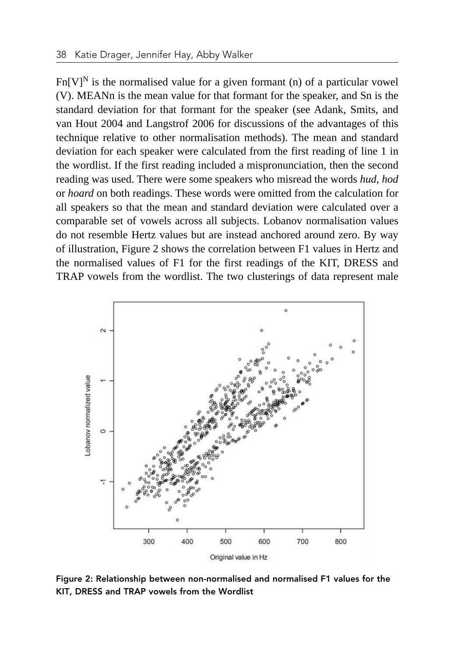$Fn[V]^N$  is the normalised value for a given formant (n) of a particular vowel (V). MEANn is the mean value for that formant for the speaker, and Sn is the standard deviation for that formant for the speaker (see Adank, Smits, and van Hout 2004 and Langstrof 2006 for discussions of the advantages of this technique relative to other normalisation methods). The mean and standard deviation for each speaker were calculated from the first reading of line 1 in the wordlist. If the first reading included a mispronunciation, then the second reading was used. There were some speakers who misread the words *hud*, *hod* or *hoard* on both readings. These words were omitted from the calculation for all speakers so that the mean and standard deviation were calculated over a comparable set of vowels across all subjects. Lobanov normalisation values do not resemble Hertz values but are instead anchored around zero. By way of illustration, Figure 2 shows the correlation between F1 values in Hertz and the normalised values of F1 for the first readings of the KIT, DRESS and TRAP vowels from the wordlist. The two clusterings of data represent male



Figure 2: Relationship between non-normalised and normalised F1 values for the KIT, DRESS and TRAP vowels from the Wordlist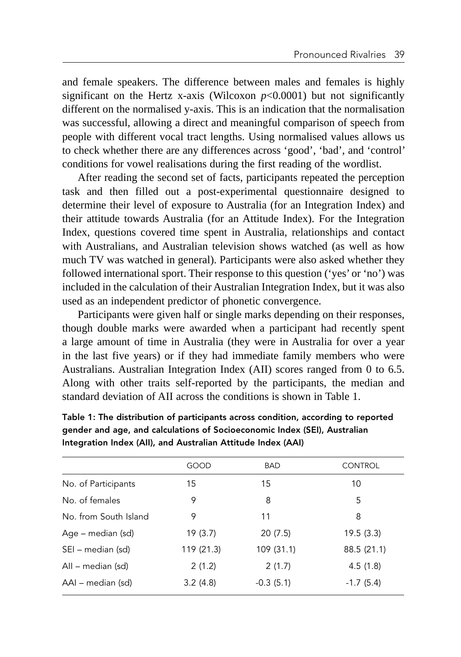and female speakers. The difference between males and females is highly significant on the Hertz x-axis (Wilcoxon  $p<0.0001$ ) but not significantly different on the normalised y-axis. This is an indication that the normalisation was successful, allowing a direct and meaningful comparison of speech from people with different vocal tract lengths. Using normalised values allows us to check whether there are any differences across 'good', 'bad', and 'control' conditions for vowel realisations during the first reading of the wordlist.

After reading the second set of facts, participants repeated the perception task and then filled out a post-experimental questionnaire designed to determine their level of exposure to Australia (for an Integration Index) and their attitude towards Australia (for an Attitude Index). For the Integration Index, questions covered time spent in Australia, relationships and contact with Australians, and Australian television shows watched (as well as how much TV was watched in general). Participants were also asked whether they followed international sport. Their response to this question ('yes' or 'no') was included in the calculation of their Australian Integration Index, but it was also used as an independent predictor of phonetic convergence.

Participants were given half or single marks depending on their responses, though double marks were awarded when a participant had recently spent a large amount of time in Australia (they were in Australia for over a year in the last five years) or if they had immediate family members who were Australians. Australian Integration Index (AII) scores ranged from 0 to 6.5. Along with other traits self-reported by the participants, the median and standard deviation of AII across the conditions is shown in Table 1.

|                       | GOOD       | <b>BAD</b>  | <b>CONTROL</b> |
|-----------------------|------------|-------------|----------------|
| No. of Participants   | 15         | 15          | 10             |
| No. of females        | 9          | 8           | 5              |
| No. from South Island | 9          | 11          | 8              |
| Age – median (sd)     | 19(3.7)    | 20(7.5)     | 19.5(3.3)      |
| SEI – median (sd)     | 119 (21.3) | 109 (31.1)  | 88.5 (21.1)    |
| All – median (sd)     | 2(1.2)     | 2(1.7)      | 4.5(1.8)       |
| AAI – median (sd)     | 3.2(4.8)   | $-0.3(5.1)$ | $-1.7(5.4)$    |

Table 1: The distribution of participants across condition, according to reported gender and age, and calculations of Socioeconomic Index (SEI), Australian Integration Index (AII), and Australian Attitude Index (AAI)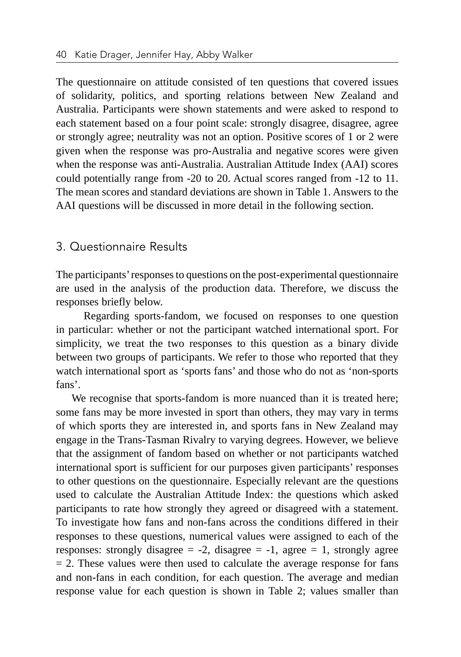The questionnaire on attitude consisted of ten questions that covered issues of solidarity, politics, and sporting relations between New Zealand and Australia. Participants were shown statements and were asked to respond to each statement based on a four point scale: strongly disagree, disagree, agree or strongly agree; neutrality was not an option. Positive scores of 1 or 2 were given when the response was pro-Australia and negative scores were given when the response was anti-Australia. Australian Attitude Index (AAI) scores could potentially range from -20 to 20. Actual scores ranged from -12 to 11. The mean scores and standard deviations are shown in Table 1. Answers to the AAI questions will be discussed in more detail in the following section.

## 3. Questionnaire Results

The participants' responses to questions on the post-experimental questionnaire are used in the analysis of the production data. Therefore, we discuss the responses briefly below.

 Regarding sports-fandom, we focused on responses to one question in particular: whether or not the participant watched international sport. For simplicity, we treat the two responses to this question as a binary divide between two groups of participants. We refer to those who reported that they watch international sport as 'sports fans' and those who do not as 'non-sports fans'.

We recognise that sports-fandom is more nuanced than it is treated here; some fans may be more invested in sport than others, they may vary in terms of which sports they are interested in, and sports fans in New Zealand may engage in the Trans-Tasman Rivalry to varying degrees. However, we believe that the assignment of fandom based on whether or not participants watched international sport is sufficient for our purposes given participants' responses to other questions on the questionnaire. Especially relevant are the questions used to calculate the Australian Attitude Index: the questions which asked participants to rate how strongly they agreed or disagreed with a statement. To investigate how fans and non-fans across the conditions differed in their responses to these questions, numerical values were assigned to each of the responses: strongly disagree  $= -2$ , disagree  $= -1$ , agree  $= 1$ , strongly agree  $= 2$ . These values were then used to calculate the average response for fans and non-fans in each condition, for each question. The average and median response value for each question is shown in Table 2; values smaller than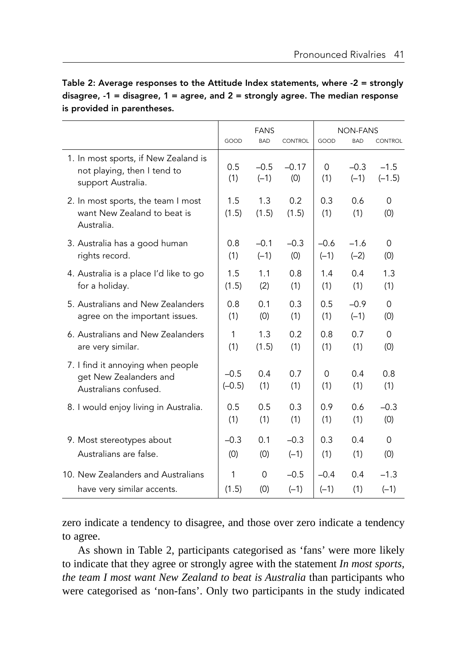|                                                                                           | <b>FANS</b>        |                  | <b>NON-FANS</b> |                 |                  |                    |
|-------------------------------------------------------------------------------------------|--------------------|------------------|-----------------|-----------------|------------------|--------------------|
|                                                                                           | GOOD               | <b>BAD</b>       | CONTROL         | GOOD            | <b>BAD</b>       | <b>CONTROL</b>     |
| 1. In most sports, if New Zealand is<br>not playing, then I tend to<br>support Australia. | 0.5<br>(1)         | $-0.5$<br>$(-1)$ | $-0.17$<br>(0)  | $\Omega$<br>(1) | $-0.3$<br>$(-1)$ | $-1.5$<br>$(-1.5)$ |
| 2. In most sports, the team I most<br>want New Zealand to beat is<br>Australia.           | 1.5<br>(1.5)       | 1.3<br>(1.5)     | 0.2<br>(1.5)    | 0.3<br>(1)      | 0.6<br>(1)       | $\Omega$<br>(0)    |
| 3. Australia has a good human                                                             | 0.8                | $-0.1$           | $-0.3$          | $-0.6$          | $-1.6$           | $\Omega$           |
| rights record.                                                                            | (1)                | $(-1)$           | (0)             | $(-1)$          | $(-2)$           | (0)                |
| 4. Australia is a place I'd like to go                                                    | 1.5                | 1.1              | 0.8             | 1.4             | 0.4              | 1.3                |
| for a holiday.                                                                            | (1.5)              | (2)              | (1)             | (1)             | (1)              | (1)                |
| 5. Australians and New Zealanders                                                         | 0.8                | 0.1              | 0.3             | 0.5             | $-0.9$           | $\Omega$           |
| agree on the important issues.                                                            | (1)                | (0)              | (1)             | (1)             | $(-1)$           | (0)                |
| 6. Australians and New Zealanders                                                         | 1                  | 1.3              | 0.2             | 0.8             | 0.7              | $\Omega$           |
| are very similar.                                                                         | (1)                | (1.5)            | (1)             | (1)             | (1)              | (0)                |
| 7. I find it annoying when people<br>get New Zealanders and<br>Australians confused.      | $-0.5$<br>$(-0.5)$ | 0.4<br>(1)       | 0.7<br>(1)      | $\Omega$<br>(1) | 0.4<br>(1)       | 0.8<br>(1)         |
| 8. I would enjoy living in Australia.                                                     | 0.5                | 0.5              | 0.3             | 0.9             | 0.6              | $-0.3$             |
|                                                                                           | (1)                | (1)              | (1)             | (1)             | (1)              | (0)                |
| 9. Most stereotypes about                                                                 | $-0.3$             | 0.1              | $-0.3$          | 0.3             | 0.4              | $\Omega$           |
| Australians are false.                                                                    | (0)                | (0)              | $(-1)$          | (1)             | (1)              | (0)                |
| 10. New Zealanders and Australians                                                        | 1                  | $\Omega$         | $-0.5$          | $-0.4$          | 0.4              | $-1.3$             |
| have very similar accents.                                                                | (1.5)              | (0)              | $(-1)$          | $(-1)$          | (1)              | $(-1)$             |

Table 2: Average responses to the Attitude Index statements, where -2 = strongly disagree,  $-1$  = disagree,  $1$  = agree, and  $2$  = strongly agree. The median response is provided in parentheses.

zero indicate a tendency to disagree, and those over zero indicate a tendency to agree.

As shown in Table 2, participants categorised as 'fans' were more likely to indicate that they agree or strongly agree with the statement *In most sports, the team I most want New Zealand to beat is Australia* than participants who were categorised as 'non-fans'. Only two participants in the study indicated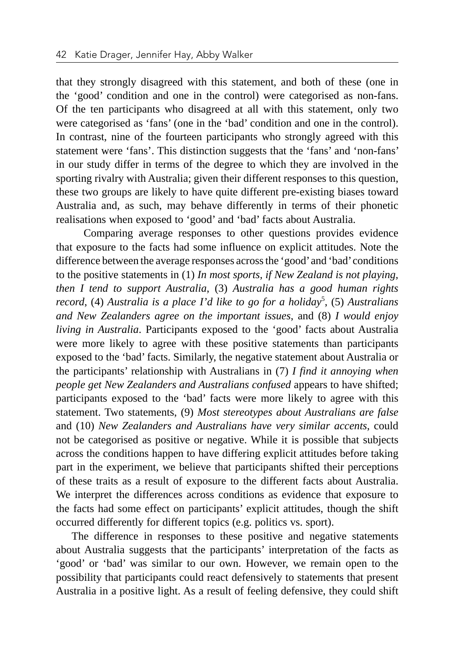that they strongly disagreed with this statement, and both of these (one in the 'good' condition and one in the control) were categorised as non-fans. Of the ten participants who disagreed at all with this statement, only two were categorised as 'fans' (one in the 'bad' condition and one in the control). In contrast, nine of the fourteen participants who strongly agreed with this statement were 'fans'. This distinction suggests that the 'fans' and 'non-fans' in our study differ in terms of the degree to which they are involved in the sporting rivalry with Australia; given their different responses to this question, these two groups are likely to have quite different pre-existing biases toward Australia and, as such, may behave differently in terms of their phonetic realisations when exposed to 'good' and 'bad' facts about Australia.

 Comparing average responses to other questions provides evidence that exposure to the facts had some influence on explicit attitudes. Note the difference between the average responses across the 'good' and 'bad' conditions to the positive statements in (1) *In most sports, if New Zealand is not playing, then I tend to support Australia*, (3) *Australia has a good human rights*  record, (4) *Australia is a place I'd like to go for a holiday*<sup>5</sup>, (5) *Australians and New Zealanders agree on the important issues*, and (8) *I would enjoy living in Australia*. Participants exposed to the 'good' facts about Australia were more likely to agree with these positive statements than participants exposed to the 'bad' facts. Similarly, the negative statement about Australia or the participants' relationship with Australians in (7) *I find it annoying when people get New Zealanders and Australians confused* appears to have shifted; participants exposed to the 'bad' facts were more likely to agree with this statement. Two statements, (9) *Most stereotypes about Australians are false*  and (10) *New Zealanders and Australians have very similar accents*, could not be categorised as positive or negative. While it is possible that subjects across the conditions happen to have differing explicit attitudes before taking part in the experiment, we believe that participants shifted their perceptions of these traits as a result of exposure to the different facts about Australia. We interpret the differences across conditions as evidence that exposure to the facts had some effect on participants' explicit attitudes, though the shift occurred differently for different topics (e.g. politics vs. sport).

The difference in responses to these positive and negative statements about Australia suggests that the participants' interpretation of the facts as 'good' or 'bad' was similar to our own. However, we remain open to the possibility that participants could react defensively to statements that present Australia in a positive light. As a result of feeling defensive, they could shift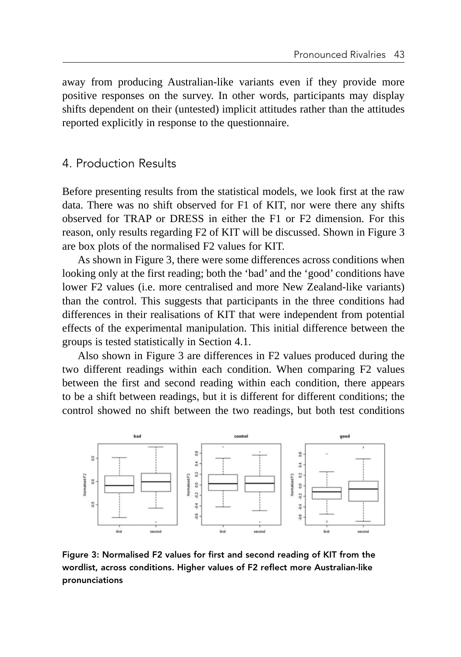away from producing Australian-like variants even if they provide more positive responses on the survey. In other words, participants may display shifts dependent on their (untested) implicit attitudes rather than the attitudes reported explicitly in response to the questionnaire.

## 4. Production Results

Before presenting results from the statistical models, we look first at the raw data. There was no shift observed for F1 of KIT, nor were there any shifts observed for TRAP or DRESS in either the F1 or F2 dimension. For this reason, only results regarding F2 of KIT will be discussed. Shown in Figure 3 are box plots of the normalised F2 values for KIT.

As shown in Figure 3, there were some differences across conditions when looking only at the first reading; both the 'bad' and the 'good' conditions have lower F2 values (i.e. more centralised and more New Zealand-like variants) than the control. This suggests that participants in the three conditions had differences in their realisations of KIT that were independent from potential effects of the experimental manipulation. This initial difference between the groups is tested statistically in Section 4.1.

Also shown in Figure 3 are differences in F2 values produced during the two different readings within each condition. When comparing F2 values between the first and second reading within each condition, there appears to be a shift between readings, but it is different for different conditions; the control showed no shift between the two readings, but both test conditions



Figure 3: Normalised F2 values for first and second reading of KIT from the wordlist, across conditions. Higher values of F2 reflect more Australian-like pronunciations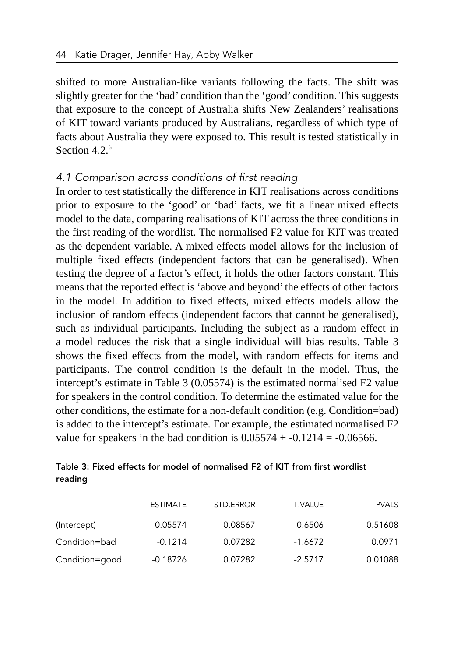shifted to more Australian-like variants following the facts. The shift was slightly greater for the 'bad' condition than the 'good' condition. This suggests that exposure to the concept of Australia shifts New Zealanders' realisations of KIT toward variants produced by Australians, regardless of which type of facts about Australia they were exposed to. This result is tested statistically in Section 4.2. $6$ 

#### *4.1 Comparison across conditions of first reading*

In order to test statistically the difference in KIT realisations across conditions prior to exposure to the 'good' or 'bad' facts, we fit a linear mixed effects model to the data, comparing realisations of KIT across the three conditions in the first reading of the wordlist. The normalised F2 value for KIT was treated as the dependent variable. A mixed effects model allows for the inclusion of multiple fixed effects (independent factors that can be generalised). When testing the degree of a factor's effect, it holds the other factors constant. This means that the reported effect is 'above and beyond' the effects of other factors in the model. In addition to fixed effects, mixed effects models allow the inclusion of random effects (independent factors that cannot be generalised), such as individual participants. Including the subject as a random effect in a model reduces the risk that a single individual will bias results. Table 3 shows the fixed effects from the model, with random effects for items and participants. The control condition is the default in the model. Thus, the intercept's estimate in Table 3 (0.05574) is the estimated normalised F2 value for speakers in the control condition. To determine the estimated value for the other conditions, the estimate for a non-default condition (e.g. Condition=bad) is added to the intercept's estimate. For example, the estimated normalised F2 value for speakers in the bad condition is  $0.05574 + -0.1214 = -0.06566$ .

## Table 3: Fixed effects for model of normalised F2 of KIT from first wordlist reading

|                | <b>ESTIMATE</b> | STD.ERROR | <b>T.VALUE</b> | <b>PVALS</b> |
|----------------|-----------------|-----------|----------------|--------------|
| (Intercept)    | 0.05574         | 0.08567   | 0.6506         | 0.51608      |
| Condition=bad  | $-0.1214$       | 0.07282   | $-1.6672$      | 0.0971       |
| Condition=good | $-0.18726$      | 0.07282   | $-2.5717$      | 0.01088      |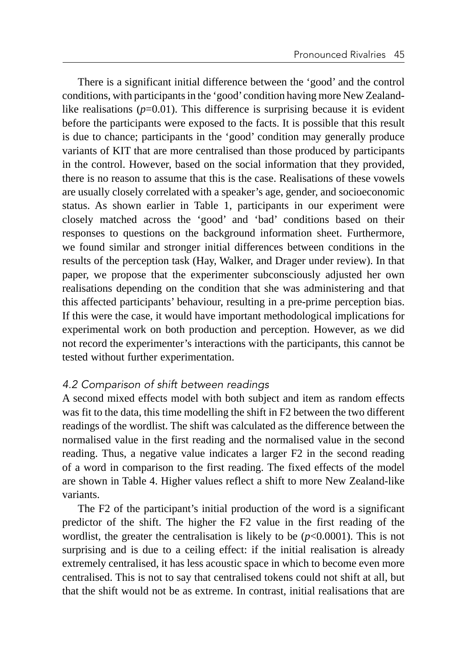There is a significant initial difference between the 'good' and the control conditions, with participants in the 'good' condition having more New Zealandlike realisations  $(p=0.01)$ . This difference is surprising because it is evident before the participants were exposed to the facts. It is possible that this result is due to chance; participants in the 'good' condition may generally produce variants of KIT that are more centralised than those produced by participants in the control. However, based on the social information that they provided, there is no reason to assume that this is the case. Realisations of these vowels are usually closely correlated with a speaker's age, gender, and socioeconomic status. As shown earlier in Table 1, participants in our experiment were closely matched across the 'good' and 'bad' conditions based on their responses to questions on the background information sheet. Furthermore, we found similar and stronger initial differences between conditions in the results of the perception task (Hay, Walker, and Drager under review). In that paper, we propose that the experimenter subconsciously adjusted her own realisations depending on the condition that she was administering and that this affected participants' behaviour, resulting in a pre-prime perception bias. If this were the case, it would have important methodological implications for experimental work on both production and perception. However, as we did not record the experimenter's interactions with the participants, this cannot be tested without further experimentation.

#### *4.2 Comparison of shift between readings*

A second mixed effects model with both subject and item as random effects was fit to the data, this time modelling the shift in F2 between the two different readings of the wordlist. The shift was calculated as the difference between the normalised value in the first reading and the normalised value in the second reading. Thus, a negative value indicates a larger F2 in the second reading of a word in comparison to the first reading. The fixed effects of the model are shown in Table 4. Higher values reflect a shift to more New Zealand-like variants.

The F2 of the participant's initial production of the word is a significant predictor of the shift. The higher the F2 value in the first reading of the wordlist, the greater the centralisation is likely to be  $(p<0.0001)$ . This is not surprising and is due to a ceiling effect: if the initial realisation is already extremely centralised, it has less acoustic space in which to become even more centralised. This is not to say that centralised tokens could not shift at all, but that the shift would not be as extreme. In contrast, initial realisations that are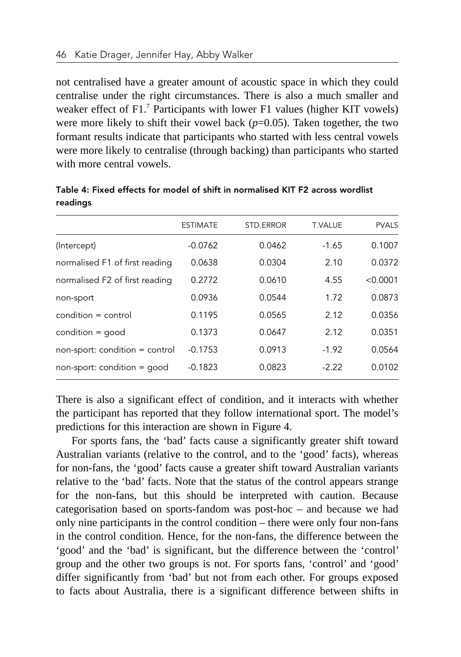not centralised have a greater amount of acoustic space in which they could centralise under the right circumstances. There is also a much smaller and weaker effect of  $F1$ .<sup>7</sup> Participants with lower  $F1$  values (higher KIT vowels) were more likely to shift their vowel back  $(p=0.05)$ . Taken together, the two formant results indicate that participants who started with less central vowels were more likely to centralise (through backing) than participants who started with more central vowels.

|                                | <b>ESTIMATE</b> | STD.ERROR | <b>T.VALUE</b> | <b>PVALS</b> |
|--------------------------------|-----------------|-----------|----------------|--------------|
| (Intercept)                    | $-0.0762$       | 0.0462    | $-1.65$        | 0.1007       |
| normalised F1 of first reading | 0.0638          | 0.0304    | 2.10           | 0.0372       |
| normalised F2 of first reading | 0.2772          | 0.0610    | 4.55           | < 0.0001     |
| non-sport                      | 0.0936          | 0.0544    | 1.72           | 0.0873       |
| $condition = control$          | 0.1195          | 0.0565    | 2.12           | 0.0356       |
| condition = good               | 0.1373          | 0.0647    | 2.12           | 0.0351       |
| non-sport: condition = control | $-0.1753$       | 0.0913    | $-1.92$        | 0.0564       |
| $non-sport: condition = good$  | $-0.1823$       | 0.0823    | $-2.22$        | 0.0102       |

Table 4: Fixed effects for model of shift in normalised KIT F2 across wordlist readings

There is also a significant effect of condition, and it interacts with whether the participant has reported that they follow international sport. The model's predictions for this interaction are shown in Figure 4.

For sports fans, the 'bad' facts cause a significantly greater shift toward Australian variants (relative to the control, and to the 'good' facts), whereas for non-fans, the 'good' facts cause a greater shift toward Australian variants relative to the 'bad' facts. Note that the status of the control appears strange for the non-fans, but this should be interpreted with caution. Because categorisation based on sports-fandom was post-hoc – and because we had only nine participants in the control condition – there were only four non-fans in the control condition. Hence, for the non-fans, the difference between the 'good' and the 'bad' is significant, but the difference between the 'control' group and the other two groups is not. For sports fans, 'control' and 'good' differ significantly from 'bad' but not from each other. For groups exposed to facts about Australia, there is a significant difference between shifts in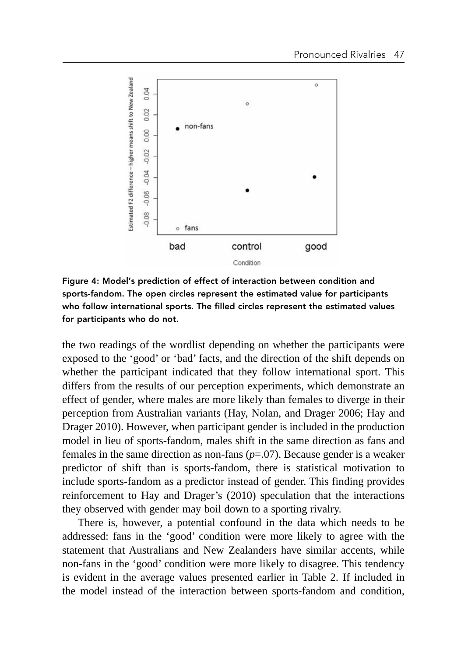

Figure 4: Model's prediction of effect of interaction between condition and sports-fandom. The open circles represent the estimated value for participants who follow international sports. The filled circles represent the estimated values for participants who do not.

the two readings of the wordlist depending on whether the participants were exposed to the 'good' or 'bad' facts, and the direction of the shift depends on whether the participant indicated that they follow international sport. This differs from the results of our perception experiments, which demonstrate an effect of gender, where males are more likely than females to diverge in their perception from Australian variants (Hay, Nolan, and Drager 2006; Hay and Drager 2010). However, when participant gender is included in the production model in lieu of sports-fandom, males shift in the same direction as fans and females in the same direction as non-fans (*p*=.07). Because gender is a weaker predictor of shift than is sports-fandom, there is statistical motivation to include sports-fandom as a predictor instead of gender. This finding provides reinforcement to Hay and Drager's (2010) speculation that the interactions they observed with gender may boil down to a sporting rivalry.

There is, however, a potential confound in the data which needs to be addressed: fans in the 'good' condition were more likely to agree with the statement that Australians and New Zealanders have similar accents, while non-fans in the 'good' condition were more likely to disagree. This tendency is evident in the average values presented earlier in Table 2. If included in the model instead of the interaction between sports-fandom and condition,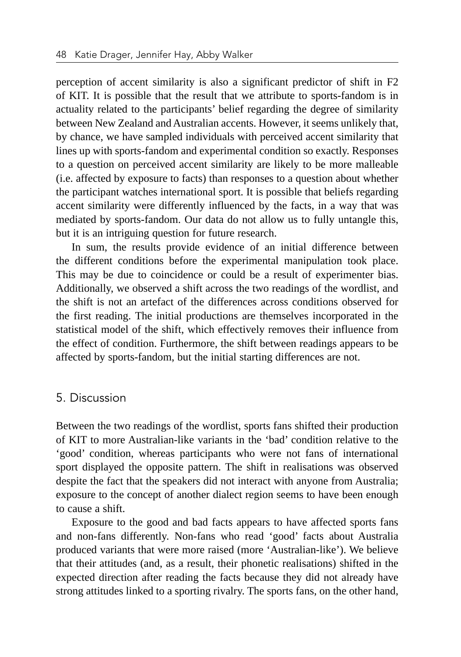perception of accent similarity is also a significant predictor of shift in F2 of KIT. It is possible that the result that we attribute to sports-fandom is in actuality related to the participants' belief regarding the degree of similarity between New Zealand and Australian accents. However, it seems unlikely that, by chance, we have sampled individuals with perceived accent similarity that lines up with sports-fandom and experimental condition so exactly. Responses to a question on perceived accent similarity are likely to be more malleable (i.e. affected by exposure to facts) than responses to a question about whether the participant watches international sport. It is possible that beliefs regarding accent similarity were differently influenced by the facts, in a way that was mediated by sports-fandom. Our data do not allow us to fully untangle this, but it is an intriguing question for future research.

In sum, the results provide evidence of an initial difference between the different conditions before the experimental manipulation took place. This may be due to coincidence or could be a result of experimenter bias. Additionally, we observed a shift across the two readings of the wordlist, and the shift is not an artefact of the differences across conditions observed for the first reading. The initial productions are themselves incorporated in the statistical model of the shift, which effectively removes their influence from the effect of condition. Furthermore, the shift between readings appears to be affected by sports-fandom, but the initial starting differences are not.

#### 5. Discussion

Between the two readings of the wordlist, sports fans shifted their production of KIT to more Australian-like variants in the 'bad' condition relative to the 'good' condition, whereas participants who were not fans of international sport displayed the opposite pattern. The shift in realisations was observed despite the fact that the speakers did not interact with anyone from Australia; exposure to the concept of another dialect region seems to have been enough to cause a shift.

Exposure to the good and bad facts appears to have affected sports fans and non-fans differently. Non-fans who read 'good' facts about Australia produced variants that were more raised (more 'Australian-like'). We believe that their attitudes (and, as a result, their phonetic realisations) shifted in the expected direction after reading the facts because they did not already have strong attitudes linked to a sporting rivalry. The sports fans, on the other hand,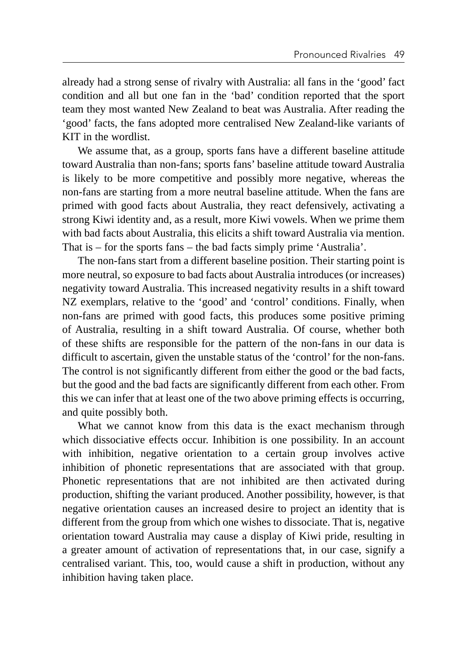already had a strong sense of rivalry with Australia: all fans in the 'good' fact condition and all but one fan in the 'bad' condition reported that the sport team they most wanted New Zealand to beat was Australia. After reading the 'good' facts, the fans adopted more centralised New Zealand-like variants of KIT in the wordlist.

We assume that, as a group, sports fans have a different baseline attitude toward Australia than non-fans; sports fans' baseline attitude toward Australia is likely to be more competitive and possibly more negative, whereas the non-fans are starting from a more neutral baseline attitude. When the fans are primed with good facts about Australia, they react defensively, activating a strong Kiwi identity and, as a result, more Kiwi vowels. When we prime them with bad facts about Australia, this elicits a shift toward Australia via mention. That is – for the sports fans – the bad facts simply prime 'Australia'.

The non-fans start from a different baseline position. Their starting point is more neutral, so exposure to bad facts about Australia introduces (or increases) negativity toward Australia. This increased negativity results in a shift toward NZ exemplars, relative to the 'good' and 'control' conditions. Finally, when non-fans are primed with good facts, this produces some positive priming of Australia, resulting in a shift toward Australia. Of course, whether both of these shifts are responsible for the pattern of the non-fans in our data is difficult to ascertain, given the unstable status of the 'control' for the non-fans. The control is not significantly different from either the good or the bad facts, but the good and the bad facts are significantly different from each other. From this we can infer that at least one of the two above priming effects is occurring, and quite possibly both.

What we cannot know from this data is the exact mechanism through which dissociative effects occur. Inhibition is one possibility. In an account with inhibition, negative orientation to a certain group involves active inhibition of phonetic representations that are associated with that group. Phonetic representations that are not inhibited are then activated during production, shifting the variant produced. Another possibility, however, is that negative orientation causes an increased desire to project an identity that is different from the group from which one wishes to dissociate. That is, negative orientation toward Australia may cause a display of Kiwi pride, resulting in a greater amount of activation of representations that, in our case, signify a centralised variant. This, too, would cause a shift in production, without any inhibition having taken place.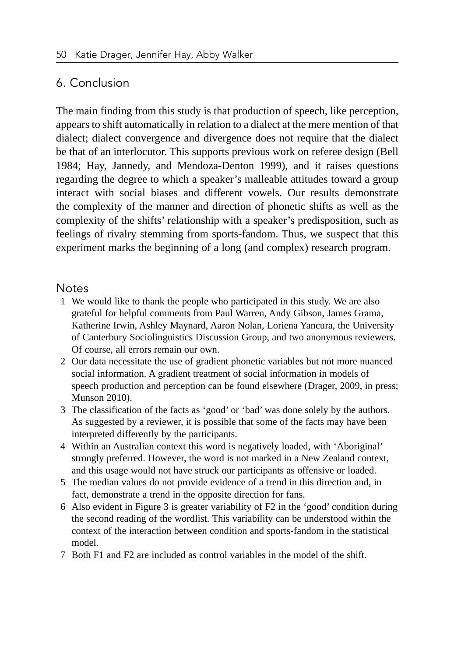# 6. Conclusion

The main finding from this study is that production of speech, like perception, appears to shift automatically in relation to a dialect at the mere mention of that dialect; dialect convergence and divergence does not require that the dialect be that of an interlocutor. This supports previous work on referee design (Bell 1984; Hay, Jannedy, and Mendoza-Denton 1999), and it raises questions regarding the degree to which a speaker's malleable attitudes toward a group interact with social biases and different vowels. Our results demonstrate the complexity of the manner and direction of phonetic shifts as well as the complexity of the shifts' relationship with a speaker's predisposition, such as feelings of rivalry stemming from sports-fandom. Thus, we suspect that this experiment marks the beginning of a long (and complex) research program.

## Notes

- 1 We would like to thank the people who participated in this study. We are also grateful for helpful comments from Paul Warren, Andy Gibson, James Grama, Katherine Irwin, Ashley Maynard, Aaron Nolan, Loriena Yancura, the University of Canterbury Sociolinguistics Discussion Group, and two anonymous reviewers. Of course, all errors remain our own.
- 2 Our data necessitate the use of gradient phonetic variables but not more nuanced social information. A gradient treatment of social information in models of speech production and perception can be found elsewhere (Drager, 2009, in press; Munson 2010).
- 3 The classification of the facts as 'good' or 'bad' was done solely by the authors. As suggested by a reviewer, it is possible that some of the facts may have been interpreted differently by the participants.
- 4 Within an Australian context this word is negatively loaded, with 'Aboriginal' strongly preferred. However, the word is not marked in a New Zealand context, and this usage would not have struck our participants as offensive or loaded.
- 5 The median values do not provide evidence of a trend in this direction and, in fact, demonstrate a trend in the opposite direction for fans.
- 6 Also evident in Figure 3 is greater variability of F2 in the 'good' condition during the second reading of the wordlist. This variability can be understood within the context of the interaction between condition and sports-fandom in the statistical model.
- 7 Both F1 and F2 are included as control variables in the model of the shift.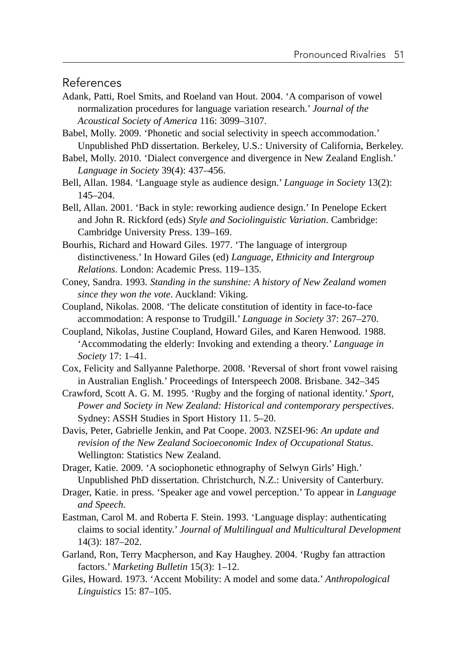References

- Adank, Patti, Roel Smits, and Roeland van Hout. 2004. 'A comparison of vowel normalization procedures for language variation research.' *Journal of the Acoustical Society of America* 116: 3099–3107.
- Babel, Molly. 2009. 'Phonetic and social selectivity in speech accommodation.' Unpublished PhD dissertation. Berkeley, U.S.: University of California, Berkeley.
- Babel, Molly. 2010. 'Dialect convergence and divergence in New Zealand English.' *Language in Society* 39(4): 437–456.
- Bell, Allan. 1984. 'Language style as audience design.' *Language in Society* 13(2): 145–204.
- Bell, Allan. 2001. 'Back in style: reworking audience design.' In Penelope Eckert and John R. Rickford (eds) *Style and Sociolinguistic Variation*. Cambridge: Cambridge University Press. 139–169.
- Bourhis, Richard and Howard Giles. 1977. 'The language of intergroup distinctiveness.' In Howard Giles (ed) *Language, Ethnicity and Intergroup Relations*. London: Academic Press. 119–135.
- Coney, Sandra. 1993. *Standing in the sunshine: A history of New Zealand women since they won the vote*. Auckland: Viking.
- Coupland, Nikolas. 2008. 'The delicate constitution of identity in face-to-face accommodation: A response to Trudgill.' *Language in Society* 37: 267–270.
- Coupland, Nikolas, Justine Coupland, Howard Giles, and Karen Henwood. 1988. 'Accommodating the elderly: Invoking and extending a theory.' *Language in Society* 17: 1–41.
- Cox, Felicity and Sallyanne Palethorpe. 2008. 'Reversal of short front vowel raising in Australian English.' Proceedings of Interspeech 2008. Brisbane. 342–345
- Crawford, Scott A. G. M. 1995. 'Rugby and the forging of national identity.' *Sport, Power and Society in New Zealand: Historical and contemporary perspectives*. Sydney: ASSH Studies in Sport History 11. 5–20.
- Davis, Peter, Gabrielle Jenkin, and Pat Coope. 2003. NZSEI-96: *An update and revision of the New Zealand Socioeconomic Index of Occupational Status*. Wellington: Statistics New Zealand.
- Drager, Katie. 2009. 'A sociophonetic ethnography of Selwyn Girls' High.' Unpublished PhD dissertation. Christchurch, N.Z.: University of Canterbury.
- Drager, Katie. in press. 'Speaker age and vowel perception.' To appear in *Language and Speech*.
- Eastman, Carol M. and Roberta F. Stein. 1993. 'Language display: authenticating claims to social identity.' *Journal of Multilingual and Multicultural Development*  14(3): 187–202.
- Garland, Ron, Terry Macpherson, and Kay Haughey. 2004. 'Rugby fan attraction factors.' *Marketing Bulletin* 15(3): 1–12.
- Giles, Howard. 1973. 'Accent Mobility: A model and some data.' *Anthropological Linguistics* 15: 87–105.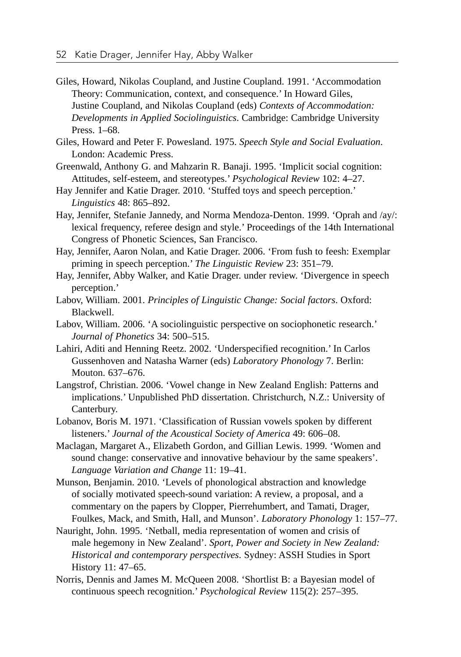- Giles, Howard, Nikolas Coupland, and Justine Coupland. 1991. 'Accommodation Theory: Communication, context, and consequence.' In Howard Giles, Justine Coupland, and Nikolas Coupland (eds) *Contexts of Accommodation: Developments in Applied Sociolinguistics*. Cambridge: Cambridge University Press. 1–68.
- Giles, Howard and Peter F. Powesland. 1975. *Speech Style and Social Evaluation*. London: Academic Press.
- Greenwald, Anthony G. and Mahzarin R. Banaji. 1995. 'Implicit social cognition: Attitudes, self-esteem, and stereotypes.' *Psychological Review* 102: 4–27.
- Hay Jennifer and Katie Drager. 2010. 'Stuffed toys and speech perception.' *Linguistics* 48: 865–892.
- Hay, Jennifer, Stefanie Jannedy, and Norma Mendoza-Denton. 1999. 'Oprah and /ay/: lexical frequency, referee design and style.' Proceedings of the 14th International Congress of Phonetic Sciences, San Francisco.
- Hay, Jennifer, Aaron Nolan, and Katie Drager. 2006. 'From fush to feesh: Exemplar priming in speech perception.' *The Linguistic Review* 23: 351–79.
- Hay, Jennifer, Abby Walker, and Katie Drager. under review. 'Divergence in speech perception.'
- Labov, William. 2001. *Principles of Linguistic Change: Social factors*. Oxford: Blackwell.
- Labov, William. 2006. 'A sociolinguistic perspective on sociophonetic research.' *Journal of Phonetics* 34: 500–515.
- Lahiri, Aditi and Henning Reetz. 2002. 'Underspecified recognition.' In Carlos Gussenhoven and Natasha Warner (eds) *Laboratory Phonology* 7. Berlin: Mouton. 637–676.
- Langstrof, Christian. 2006. 'Vowel change in New Zealand English: Patterns and implications.' Unpublished PhD dissertation. Christchurch, N.Z.: University of Canterbury.
- Lobanov, Boris M. 1971. 'Classification of Russian vowels spoken by different listeners.' *Journal of the Acoustical Society of America* 49: 606–08.
- Maclagan, Margaret A., Elizabeth Gordon, and Gillian Lewis. 1999. 'Women and sound change: conservative and innovative behaviour by the same speakers'. *Language Variation and Change* 11: 19–41.
- Munson, Benjamin. 2010. 'Levels of phonological abstraction and knowledge of socially motivated speech-sound variation: A review, a proposal, and a commentary on the papers by Clopper, Pierrehumbert, and Tamati, Drager, Foulkes, Mack, and Smith, Hall, and Munson'. *Laboratory Phonology* 1: 157–77.
- Nauright, John. 1995. 'Netball, media representation of women and crisis of male hegemony in New Zealand'. *Sport, Power and Society in New Zealand: Historical and contemporary perspectives*. Sydney: ASSH Studies in Sport History 11: 47–65.
- Norris, Dennis and James M. McQueen 2008. 'Shortlist B: a Bayesian model of continuous speech recognition.' *Psychological Review* 115(2): 257–395.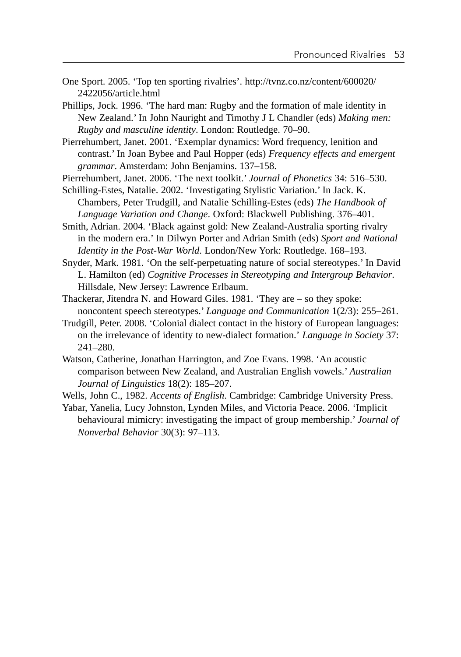One Sport. 2005. 'Top ten sporting rivalries'. http://tvnz.co.nz/content/600020/ 2422056/article.html

Phillips, Jock. 1996. 'The hard man: Rugby and the formation of male identity in New Zealand.' In John Nauright and Timothy J L Chandler (eds) *Making men: Rugby and masculine identity*. London: Routledge. 70–90.

Pierrehumbert, Janet. 2001. 'Exemplar dynamics: Word frequency, lenition and contrast.' In Joan Bybee and Paul Hopper (eds) *Frequency effects and emergent grammar*. Amsterdam: John Benjamins. 137–158.

Pierrehumbert, Janet. 2006. 'The next toolkit.' *Journal of Phonetics* 34: 516–530.

Schilling-Estes, Natalie. 2002. 'Investigating Stylistic Variation.' In Jack. K. Chambers, Peter Trudgill, and Natalie Schilling-Estes (eds) *The Handbook of Language Variation and Change*. Oxford: Blackwell Publishing. 376–401.

Smith, Adrian. 2004. 'Black against gold: New Zealand-Australia sporting rivalry in the modern era.' In Dilwyn Porter and Adrian Smith (eds) *Sport and National Identity in the Post-War World*. London/New York: Routledge. 168–193.

Snyder, Mark. 1981. 'On the self-perpetuating nature of social stereotypes.' In David L. Hamilton (ed) *Cognitive Processes in Stereotyping and Intergroup Behavior*. Hillsdale, New Jersey: Lawrence Erlbaum.

Thackerar, Jitendra N. and Howard Giles. 1981. 'They are – so they spoke: noncontent speech stereotypes.' *Language and Communication* 1(2/3): 255–261.

- Trudgill, Peter. 2008. 'Colonial dialect contact in the history of European languages: on the irrelevance of identity to new-dialect formation.' *Language in Society* 37: 241–280.
- Watson, Catherine, Jonathan Harrington, and Zoe Evans. 1998. 'An acoustic comparison between New Zealand, and Australian English vowels.' *Australian Journal of Linguistics* 18(2): 185–207.

Wells, John C., 1982. *Accents of English*. Cambridge: Cambridge University Press.

Yabar, Yanelia, Lucy Johnston, Lynden Miles, and Victoria Peace. 2006. 'Implicit behavioural mimicry: investigating the impact of group membership.' *Journal of Nonverbal Behavior* 30(3): 97–113.